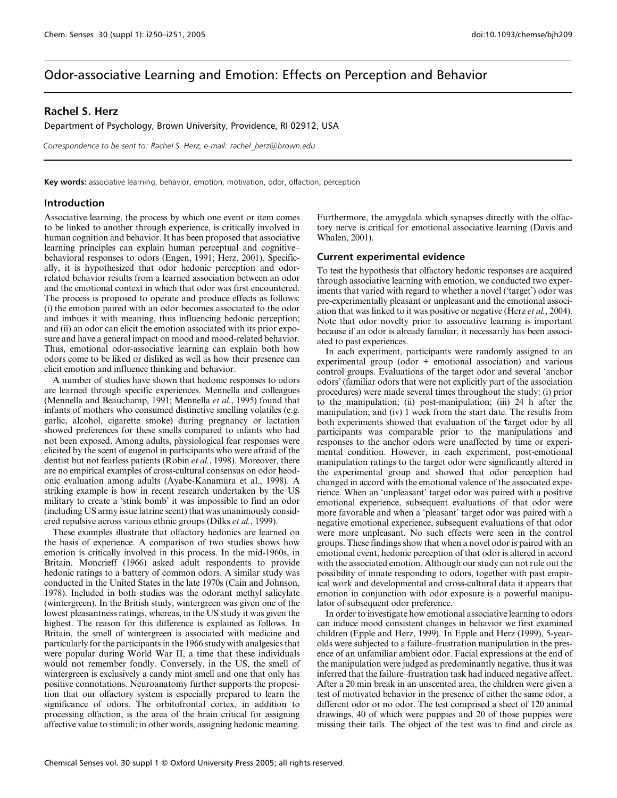# Odor-associative Learning and Emotion: Effects on Perception and Behavior

## **Rachel S. Herz**

Department of Psychology, Brown University, Providence, RI 02912, USA

*Correspondence to be sent to: Rachel S. Herz, e-mail: rachel\_herz@brown.edu*

**Key words:** associative learning, behavior, emotion, motivation, odor, olfaction, perception

#### **Introduction**

Associative learning, the process by which one event or item comes to be linked to another through experience, is critically involved in human cognition and behavior. It has been proposed that associative learning principles can explain human perceptual and cognitive– behavioral responses to odors (Engen, 1991; Herz, 2001). Specifically, it is hypothesized that odor hedonic perception and odorrelated behavior results from a learned association between an odor and the emotional context in which that odor was first encountered. The process is proposed to operate and produce effects as follows: (i) the emotion paired with an odor becomes associated to the odor and imbues it with meaning, thus influencing hedonic perception; and (ii) an odor can elicit the emotion associated with its prior exposure and have a general impact on mood and mood-related behavior. Thus, emotional odor-associative learning can explain both how odors come to be liked or disliked as well as how their presence can elicit emotion and influence thinking and behavior.

A number of studies have shown that hedonic responses to odors are learned through specific experiences. Mennella and colleagues (Mennella and Beauchamp, 1991; Mennella *et al.*, 1995) found that infants of mothers who consumed distinctive smelling volatiles (e.g. garlic, alcohol, cigarette smoke) during pregnancy or lactation showed preferences for these smells compared to infants who had not been exposed. Among adults, physiological fear responses were elicited by the scent of eugenol in participants who were afraid of the dentist but not fearless patients (Robin *et al.*, 1998). Moreover, there are no empirical examples of cross-cultural consensus on odor heodonic evaluation among adults (Ayabe-Kanamura et al., 1998). A striking example is how in recent research undertaken by the US military to create a 'stink bomb' it was impossible to find an odor (including US army issue latrine scent) that was unanimously considered repulsive across various ethnic groups (Dilks *et al.*, 1999).

These examples illustrate that olfactory hedonics are learned on the basis of experience. A comparison of two studies shows how emotion is critically involved in this process. In the mid-1960s, in Britain, Moncrieff (1966) asked adult respondents to provide hedonic ratings to a battery of common odors. A similar study was conducted in the United States in the late 1970s (Cain and Johnson, 1978). Included in both studies was the odorant methyl salicylate (wintergreen). In the British study, wintergreen was given one of the lowest pleasantness ratings, whereas, in the US study it was given the highest. The reason for this difference is explained as follows. In Britain, the smell of wintergreen is associated with medicine and particularly for the participants in the 1966 study with analgesics that were popular during World War II, a time that these individuals would not remember fondly. Conversely, in the US, the smell of wintergreen is exclusively a candy mint smell and one that only has positive connotations. Neuroanatomy further supports the proposition that our olfactory system is especially prepared to learn the significance of odors. The orbitofrontal cortex, in addition to processing olfaction, is the area of the brain critical for assigning affective value to stimuli; in other words, assigning hedonic meaning.

Furthermore, the amygdala which synapses directly with the olfactory nerve is critical for emotional associative learning (Davis and Whalen, 2001).

#### **Current experimental evidence**

To test the hypothesis that olfactory hedonic responses are acquired through associative learning with emotion, we conducted two experiments that varied with regard to whether a novel ('target') odor was pre-experimentally pleasant or unpleasant and the emotional association that was linked to it was positive or negative (Herz *et al.*, 2004). Note that odor novelty prior to associative learning is important because if an odor is already familiar, it necessarily has been associated to past experiences.

In each experiment, participants were randomly assigned to an experimental group (odor + emotional association) and various control groups. Evaluations of the target odor and several 'anchor odors' (familiar odors that were not explicitly part of the association procedures) were made several times throughout the study: (i) prior to the manipulation; (ii) post-manipulation; (iii) 24 h after the manipulation; and (iv) 1 week from the start date. The results from both experiments showed that evaluation of the **t**arget odor by all participants was comparable prior to the manipulations and responses to the anchor odors were unaffected by time or experimental condition. However, in each experiment, post-emotional manipulation ratings to the target odor were significantly altered in the experimental group and showed that odor perception had changed in accord with the emotional valence of the associated experience. When an 'unpleasant' target odor was paired with a positive emotional experience, subsequent evaluations of that odor were more favorable and when a 'pleasant' target odor was paired with a negative emotional experience, subsequent evaluations of that odor were more unpleasant. No such effects were seen in the control groups. These findings show that when a novel odor is paired with an emotional event, hedonic perception of that odor is altered in accord with the associated emotion. Although our study can not rule out the possibility of innate responding to odors, together with past empirical work and developmental and cross-cultural data it appears that emotion in conjunction with odor exposure is a powerful manipulator of subsequent odor preference.

In order to investigate how emotional associative learning to odors can induce mood consistent changes in behavior we first examined children (Epple and Herz, 1999). In Epple and Herz (1999), 5-yearolds were subjected to a failure–frustration manipulation in the presence of an unfamiliar ambient odor. Facial expressions at the end of the manipulation were judged as predominantly negative, thus it was inferred that the failure–frustration task had induced negative affect. After a 20 min break in an unscented area, the children were given a test of motivated behavior in the presence of either the same odor, a different odor or no odor. The test comprised a sheet of 120 animal drawings, 40 of which were puppies and 20 of those puppies were missing their tails. The object of the test was to find and circle as